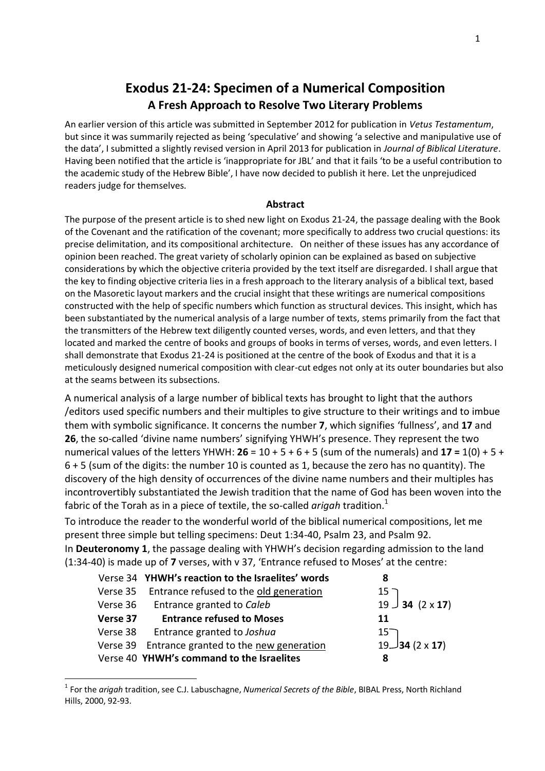# **Exodus 21-24: Specimen of a Numerical Composition A Fresh Approach to Resolve Two Literary Problems**

An earlier version of this article was submitted in September 2012 for publication in *Vetus Testamentum*, but since it was summarily rejected as being 'speculative' and showing 'a selective and manipulative use of the data', I submitted a slightly revised version in April 2013 for publication in *Journal of Biblical Literature*. Having been notified that the article is 'inappropriate for JBL' and that it fails 'to be a useful contribution to the academic study of the Hebrew Bible', I have now decided to publish it here. Let the unprejudiced readers judge for themselves.

#### **Abstract**

The purpose of the present article is to shed new light on Exodus 21-24, the passage dealing with the Book of the Covenant and the ratification of the covenant; more specifically to address two crucial questions: its precise delimitation, and its compositional architecture. On neither of these issues has any accordance of opinion been reached. The great variety of scholarly opinion can be explained as based on subjective considerations by which the objective criteria provided by the text itself are disregarded. I shall argue that the key to finding objective criteria lies in a fresh approach to the literary analysis of a biblical text, based on the Masoretic layout markers and the crucial insight that these writings are numerical compositions constructed with the help of specific numbers which function as structural devices. This insight, which has been substantiated by the numerical analysis of a large number of texts, stems primarily from the fact that the transmitters of the Hebrew text diligently counted verses, words, and even letters, and that they located and marked the centre of books and groups of books in terms of verses, words, and even letters. I shall demonstrate that Exodus 21-24 is positioned at the centre of the book of Exodus and that it is a meticulously designed numerical composition with clear-cut edges not only at its outer boundaries but also at the seams between its subsections.

A numerical analysis of a large number of biblical texts has brought to light that the authors /editors used specific numbers and their multiples to give structure to their writings and to imbue them with symbolic significance. It concerns the number **7**, which signifies 'fullness', and **17** and **26**, the so-called 'divine name numbers' signifying YHWH's presence. They represent the two numerical values of the letters YHWH: **26** = 10 + 5 + 6 + 5 (sum of the numerals) and **17 =** 1(0) + 5 + 6 + 5 (sum of the digits: the number 10 is counted as 1, because the zero has no quantity). The discovery of the high density of occurrences of the divine name numbers and their multiples has incontrovertibly substantiated the Jewish tradition that the name of God has been woven into the fabric of the Torah as in a piece of textile, the so-called *arigah* tradition. 1

To introduce the reader to the wonderful world of the biblical numerical compositions, let me present three simple but telling specimens: Deut 1:34-40, Psalm 23, and Psalm 92. In **Deuteronomy 1**, the passage dealing with YHWH's decision regarding admission to the land

(1:34-40) is made up of **7** verses, with v 37, 'Entrance refused to Moses' at the centre:

|          | Verse 34 YHWH's reaction to the Israelites' words | 8                     |
|----------|---------------------------------------------------|-----------------------|
|          | Verse 35 Entrance refused to the old generation   | $15^-$                |
|          | Verse 36 Entrance granted to Caleb                | $19 \cup 34$ (2 x 17) |
| Verse 37 | <b>Entrance refused to Moses</b>                  | 11                    |
|          | Verse 38 Entrance granted to Joshua               | $15^-$                |
|          | Verse 39 Entrance granted to the new generation   | $19$ 34 (2 x 17)      |
|          | Verse 40 YHWH's command to the Israelites         | 8                     |

<sup>1</sup> For the *arigah* tradition, see C.J. Labuschagne, *Numerical Secrets of the Bible*, BIBAL Press, North Richland Hills, 2000, 92-93.

1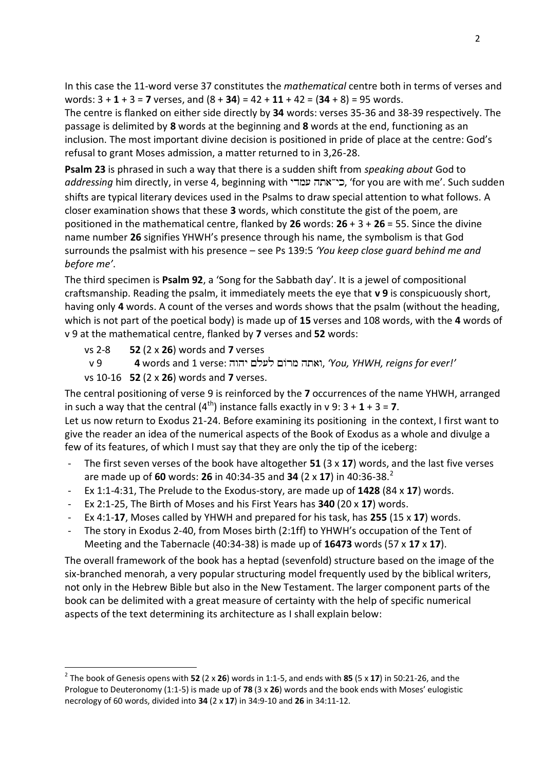In this case the 11-word verse 37 constitutes the *mathematical* centre both in terms of verses and words: 3 + **1** + 3 = **7** verses, and (8 + **34**) = 42 + **11** + 42 = (**34** + 8) = 95 words.

The centre is flanked on either side directly by **34** words: verses 35-36 and 38-39 respectively. The passage is delimited by **8** words at the beginning and **8** words at the end, functioning as an inclusion. The most important divine decision is positioned in pride of place at the centre: God's refusal to grant Moses admission, a matter returned to in 3,26-28.

**Psalm 23** is phrased in such a way that there is a sudden shift from *speaking about* God to *addressing* him directly, in verse 4, beginning with , 'for you are with me'. Such sudden shifts are typical literary devices used in the Psalms to draw special attention to what follows. A closer examination shows that these **3** words, which constitute the gist of the poem, are positioned in the mathematical centre, flanked by **26** words: **26** + 3 + **26** = 55. Since the divine name number **26** signifies YHWH's presence through his name, the symbolism is that God surrounds the psalmist with his presence – see Ps 139:5 *'You keep close guard behind me and before me'*.

The third specimen is **Psalm 92**, a 'Song for the Sabbath day'. It is a jewel of compositional craftsmanship. Reading the psalm, it immediately meets the eye that **v 9** is conspicuously short, having only **4** words. A count of the verses and words shows that the psalm (without the heading, which is not part of the poetical body) is made up of **15** verses and 108 words, with the **4** words of v 9 at the mathematical centre, flanked by **7** verses and **52** words:

vs 2-8 **52** (2 x **26**) words and **7** verses v 9 **4** words and 1 verse: , *'You, YHWH, reigns for ever!'* vs 10-16 **52** (2 x **26**) words and **7** verses.

The central positioning of verse 9 is reinforced by the **7** occurrences of the name YHWH, arranged in such a way that the central  $(4^{th})$  instance falls exactly in v 9:  $3 + 1 + 3 = 7$ .

Let us now return to Exodus 21-24. Before examining its positioning in the context, I first want to give the reader an idea of the numerical aspects of the Book of Exodus as a whole and divulge a few of its features, of which I must say that they are only the tip of the iceberg:

- The first seven verses of the book have altogether **51** (3 x **17**) words, and the last five verses are made up of **60** words: **26** in 40:34-35 and **34** (2 x **17**) in 40:36-38.<sup>2</sup>
- Ex 1:1-4:31, The Prelude to the Exodus-story, are made up of **1428** (84 x **17**) words.
- Ex 2:1-25, The Birth of Moses and his First Years has **340** (20 x **17**) words.
- Ex 4:1-**17**, Moses called by YHWH and prepared for his task, has **255** (15 x **17**) words.
- The story in Exodus 2-40, from Moses birth (2:1ff) to YHWH's occupation of the Tent of Meeting and the Tabernacle (40:34-38) is made up of **16473** words (57 x **17** x **17**).

The overall framework of the book has a heptad (sevenfold) structure based on the image of the six-branched menorah, a very popular structuring model frequently used by the biblical writers, not only in the Hebrew Bible but also in the New Testament. The larger component parts of the book can be delimited with a great measure of certainty with the help of specific numerical aspects of the text determining its architecture as I shall explain below:

**.** 

<sup>2</sup> The book of Genesis opens with **52** (2 x **26**) words in 1:1-5, and ends with **85** (5 x **17**) in 50:21-26, and the Prologue to Deuteronomy (1:1-5) is made up of **78** (3 x **26**) words and the book ends with Moses' eulogistic necrology of 60 words, divided into **34** (2 x **17**) in 34:9-10 and **26** in 34:11-12.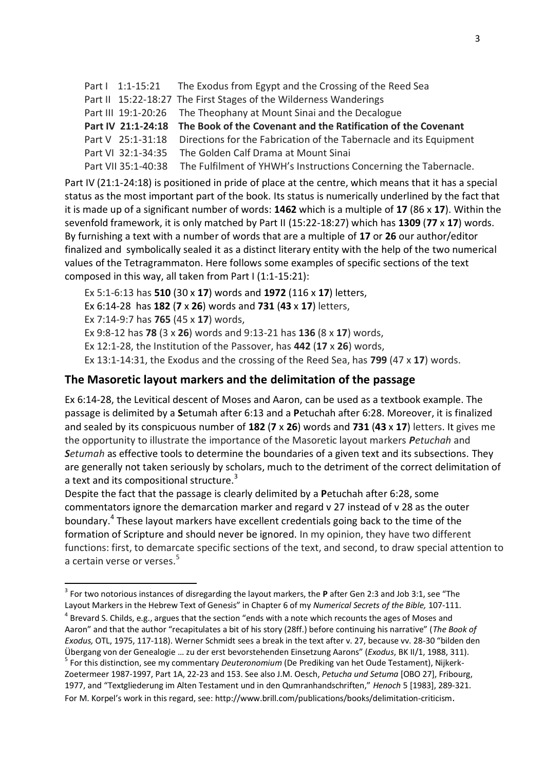Part I 1:1-15:21 The Exodus from Egypt and the Crossing of the Reed Sea Part II 15:22-18:27 The First Stages of the Wilderness Wanderings Part III 19:1-20:26 The Theophany at Mount Sinai and the Decalogue **Part IV 21:1-24:18 The Book of the Covenant and the Ratification of the Covenant** Part V 25:1-31:18 Directions for the Fabrication of the Tabernacle and its Equipment Part VI 32:1-34:35 The Golden Calf Drama at Mount Sinai Part VII 35:1-40:38 The Fulfilment of YHWH's Instructions Concerning the Tabernacle.

Part IV (21:1-24:18) is positioned in pride of place at the centre, which means that it has a special status as the most important part of the book. Its status is numerically underlined by the fact that it is made up of a significant number of words: **1462** which is a multiple of **17** (86 x **17**). Within the sevenfold framework, it is only matched by Part II (15:22-18:27) which has **1309** (**77** x **17**) words. By furnishing a text with a number of words that are a multiple of **17** or **26** our author/editor finalized and symbolically sealed it as a distinct literary entity with the help of the two numerical values of the Tetragrammaton. Here follows some examples of specific sections of the text composed in this way, all taken from Part I (1:1-15:21):

Ex 5:1-6:13 has **510** (30 x **17**) words and **1972** (116 x **17**) letters, Ex 6:14-28 has **182** (**7** x **26**) words and **731** (**43** x **17**) letters, Ex 7:14-9:7 has **765** (45 x **17**) words, Ex 9:8-12 has **78** (3 x **26**) words and 9:13-21 has **136** (8 x **17**) words, Ex 12:1-28, the Institution of the Passover, has **442** (**17** x **26**) words, Ex 13:1-14:31, the Exodus and the crossing of the Reed Sea, has **799** (47 x **17**) words.

## **The Masoretic layout markers and the delimitation of the passage**

Ex 6:14-28, the Levitical descent of Moses and Aaron, can be used as a textbook example. The passage is delimited by a **S**etumah after 6:13 and a **P**etuchah after 6:28. Moreover, it is finalized and sealed by its conspicuous number of **182** (**7** x **26**) words and **731** (**43** x **17**) letters. It gives me the opportunity to illustrate the importance of the Masoretic layout markers *Petuchah* and *Setumah* as effective tools to determine the boundaries of a given text and its subsections. They are generally not taken seriously by scholars, much to the detriment of the correct delimitation of a text and its compositional structure.<sup>3</sup>

Despite the fact that the passage is clearly delimited by a **P**etuchah after 6:28, some commentators ignore the demarcation marker and regard v 27 instead of v 28 as the outer boundary.<sup>4</sup> These layout markers have excellent credentials going back to the time of the formation of Scripture and should never be ignored. In my opinion, they have two different functions: first, to demarcate specific sections of the text, and second, to draw special attention to a certain verse or verses.<sup>5</sup>

<sup>-</sup>3 For two notorious instances of disregarding the layout markers, the **P** after Gen 2:3 and Job 3:1, see "The Layout Markers in the Hebrew Text of Genesis" in Chapter 6 of my *Numerical Secrets of the Bible,* 107-111.

 $^4$  Brevard S. Childs, e.g., argues that the section "ends with a note which recounts the ages of Moses and

Aaron" and that the author "recapitulates a bit of his story (28ff.) before continuing his narrative" (*The Book of* 

*Exodus,* OTL, 1975, 117-118). Werner Schmidt sees a break in the text after v. 27, because vv. 28-30 "bilden den Übergang von der Genealogie … zu der erst bevorstehenden Einsetzung Aarons" (*Exodus*, BK II/1, 1988, 311).

<sup>5</sup> For this distinction, see my commentary *Deuteronomium* (De Prediking van het Oude Testament), Nijkerk-Zoetermeer 1987-1997, Part 1A, 22-23 and 153. See also J.M. Oesch, *Petucha und Setuma* [OBO 27], Fribourg, 1977, and "Textgliederung im Alten Testament und in den Qumranhandschriften," *Henoch* 5 [1983], 289-321.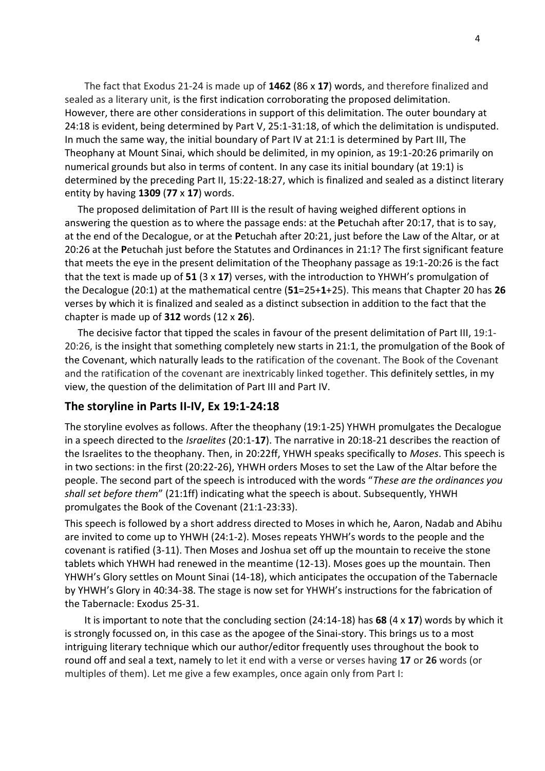The fact that Exodus 21-24 is made up of **1462** (86 x **17**) words, and therefore finalized and sealed as a literary unit, is the first indication corroborating the proposed delimitation. However, there are other considerations in support of this delimitation. The outer boundary at 24:18 is evident, being determined by Part V, 25:1-31:18, of which the delimitation is undisputed. In much the same way, the initial boundary of Part IV at 21:1 is determined by Part III, The Theophany at Mount Sinai, which should be delimited, in my opinion, as 19:1-20:26 primarily on numerical grounds but also in terms of content. In any case its initial boundary (at 19:1) is determined by the preceding Part II, 15:22-18:27, which is finalized and sealed as a distinct literary entity by having **1309** (**77** x **17**) words.

The proposed delimitation of Part III is the result of having weighed different options in answering the question as to where the passage ends: at the **P**etuchah after 20:17, that is to say, at the end of the Decalogue, or at the **P**etuchah after 20:21, just before the Law of the Altar, or at 20:26 at the **P**etuchah just before the Statutes and Ordinances in 21:1? The first significant feature that meets the eye in the present delimitation of the Theophany passage as 19:1-20:26 is the fact that the text is made up of **51** (3 x **17**) verses, with the introduction to YHWH's promulgation of the Decalogue (20:1) at the mathematical centre (**51**=25+**1**+25). This means that Chapter 20 has **26** verses by which it is finalized and sealed as a distinct subsection in addition to the fact that the chapter is made up of **312** words (12 x **26**).

The decisive factor that tipped the scales in favour of the present delimitation of Part III, 19:1- 20:26, is the insight that something completely new starts in 21:1, the promulgation of the Book of the Covenant, which naturally leads to the ratification of the covenant. The Book of the Covenant and the ratification of the covenant are inextricably linked together. This definitely settles, in my view, the question of the delimitation of Part III and Part IV.

#### **The storyline in Parts II-IV, Ex 19:1-24:18**

The storyline evolves as follows. After the theophany (19:1-25) YHWH promulgates the Decalogue in a speech directed to the *Israelites* (20:1-**17**). The narrative in 20:18-21 describes the reaction of the Israelites to the theophany. Then, in 20:22ff, YHWH speaks specifically to *Moses*. This speech is in two sections: in the first (20:22-26), YHWH orders Moses to set the Law of the Altar before the people. The second part of the speech is introduced with the words "*These are the ordinances you shall set before them*" (21:1ff) indicating what the speech is about. Subsequently, YHWH promulgates the Book of the Covenant (21:1-23:33).

This speech is followed by a short address directed to Moses in which he, Aaron, Nadab and Abihu are invited to come up to YHWH (24:1-2). Moses repeats YHWH's words to the people and the covenant is ratified (3-11). Then Moses and Joshua set off up the mountain to receive the stone tablets which YHWH had renewed in the meantime (12-13). Moses goes up the mountain. Then YHWH's Glory settles on Mount Sinai (14-18), which anticipates the occupation of the Tabernacle by YHWH's Glory in 40:34-38. The stage is now set for YHWH's instructions for the fabrication of the Tabernacle: Exodus 25-31.

It is important to note that the concluding section (24:14-18) has **68** (4 x **17**) words by which it is strongly focussed on, in this case as the apogee of the Sinai-story. This brings us to a most intriguing literary technique which our author/editor frequently uses throughout the book to round off and seal a text, namely to let it end with a verse or verses having **17** or **26** words (or multiples of them). Let me give a few examples, once again only from Part I: